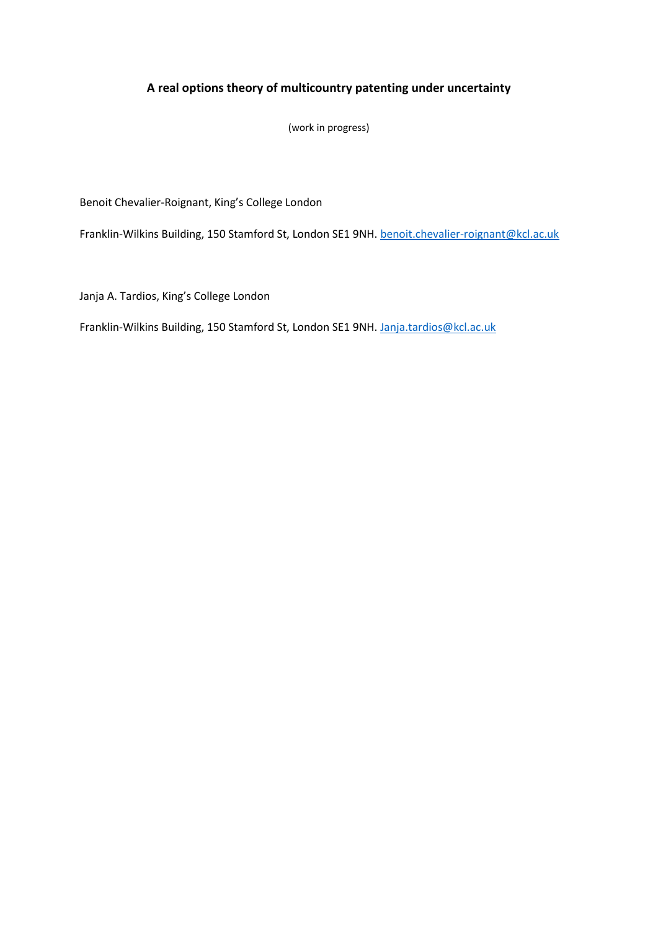# **A real options theory of multicountry patenting under uncertainty**

(work in progress)

Benoit Chevalier-Roignant, King's College London

Franklin-Wilkins Building, 150 Stamford St, London SE1 9NH. [benoit.chevalier-roignant@kcl.ac.uk](mailto:benoit.chevalier-roignant@kcl.ac.uk)

Janja A. Tardios, King's College London

Franklin-Wilkins Building, 150 Stamford St, London SE1 9NH. [Janja.tardios@kcl.ac.uk](mailto:Janja.tardios@kcl.ac.uk)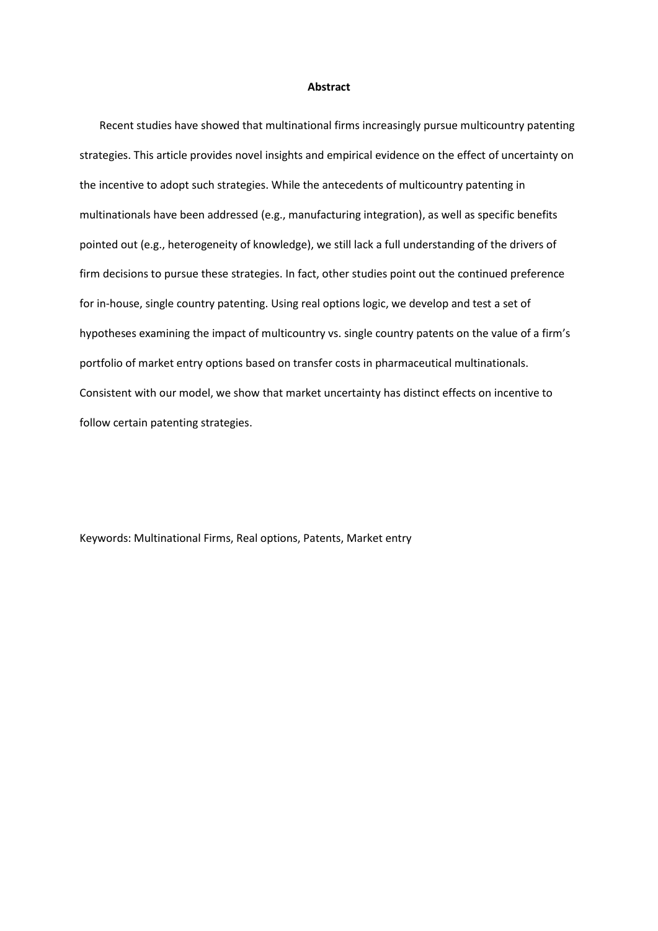#### **Abstract**

Recent studies have showed that multinational firms increasingly pursue multicountry patenting strategies. This article provides novel insights and empirical evidence on the effect of uncertainty on the incentive to adopt such strategies. While the antecedents of multicountry patenting in multinationals have been addressed (e.g., manufacturing integration), as well as specific benefits pointed out (e.g., heterogeneity of knowledge), we still lack a full understanding of the drivers of firm decisions to pursue these strategies. In fact, other studies point out the continued preference for in-house, single country patenting. Using real options logic, we develop and test a set of hypotheses examining the impact of multicountry vs. single country patents on the value of a firm's portfolio of market entry options based on transfer costs in pharmaceutical multinationals. Consistent with our model, we show that market uncertainty has distinct effects on incentive to follow certain patenting strategies.

Keywords: Multinational Firms, Real options, Patents, Market entry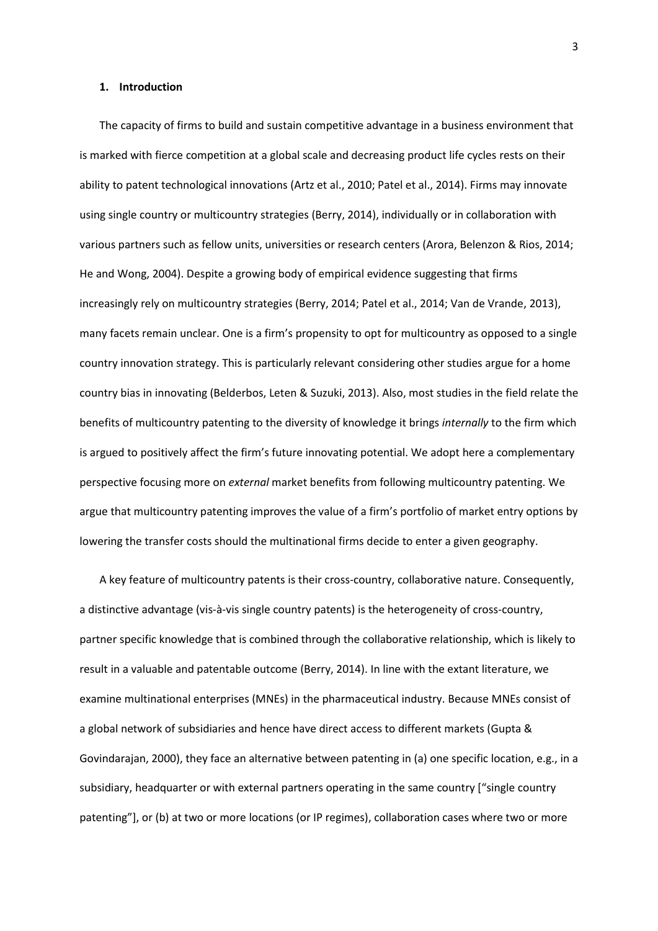#### **1. Introduction**

The capacity of firms to build and sustain competitive advantage in a business environment that is marked with fierce competition at a global scale and decreasing product life cycles rests on their ability to patent technological innovations (Artz et al., 2010; Patel et al., 2014). Firms may innovate using single country or multicountry strategies (Berry, 2014), individually or in collaboration with various partners such as fellow units, universities or research centers (Arora, Belenzon & Rios, 2014; He and Wong, 2004). Despite a growing body of empirical evidence suggesting that firms increasingly rely on multicountry strategies (Berry, 2014; Patel et al., 2014; Van de Vrande, 2013), many facets remain unclear. One is a firm's propensity to opt for multicountry as opposed to a single country innovation strategy. This is particularly relevant considering other studies argue for a home country bias in innovating (Belderbos, Leten & Suzuki, 2013). Also, most studies in the field relate the benefits of multicountry patenting to the diversity of knowledge it brings *internally* to the firm which is argued to positively affect the firm's future innovating potential. We adopt here a complementary perspective focusing more on *external* market benefits from following multicountry patenting. We argue that multicountry patenting improves the value of a firm's portfolio of market entry options by lowering the transfer costs should the multinational firms decide to enter a given geography.

A key feature of multicountry patents is their cross-country, collaborative nature. Consequently, a distinctive advantage (vis-à-vis single country patents) is the heterogeneity of cross-country, partner specific knowledge that is combined through the collaborative relationship, which is likely to result in a valuable and patentable outcome (Berry, 2014). In line with the extant literature, we examine multinational enterprises (MNEs) in the pharmaceutical industry. Because MNEs consist of a global network of subsidiaries and hence have direct access to different markets (Gupta & Govindarajan, 2000), they face an alternative between patenting in (a) one specific location, e.g., in a subsidiary, headquarter or with external partners operating in the same country ["single country patenting"], or (b) at two or more locations (or IP regimes), collaboration cases where two or more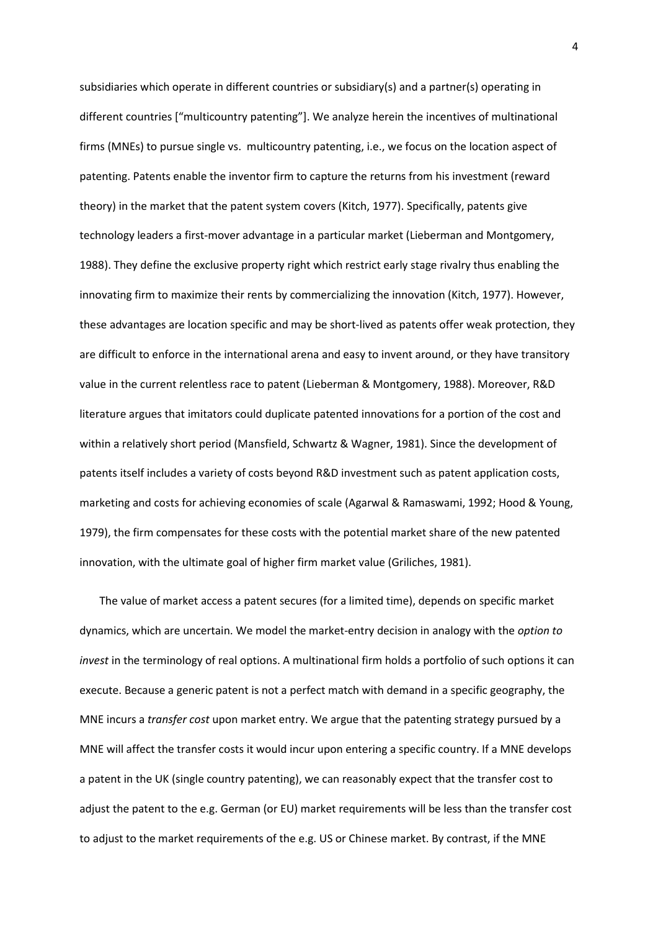subsidiaries which operate in different countries or subsidiary(s) and a partner(s) operating in different countries ["multicountry patenting"]. We analyze herein the incentives of multinational firms (MNEs) to pursue single vs. multicountry patenting, i.e., we focus on the location aspect of patenting. Patents enable the inventor firm to capture the returns from his investment (reward theory) in the market that the patent system covers (Kitch, 1977). Specifically, patents give technology leaders a first-mover advantage in a particular market (Lieberman and Montgomery, 1988). They define the exclusive property right which restrict early stage rivalry thus enabling the innovating firm to maximize their rents by commercializing the innovation (Kitch, 1977). However, these advantages are location specific and may be short-lived as patents offer weak protection, they are difficult to enforce in the international arena and easy to invent around, or they have transitory value in the current relentless race to patent (Lieberman & Montgomery, 1988). Moreover, R&D literature argues that imitators could duplicate patented innovations for a portion of the cost and within a relatively short period (Mansfield, Schwartz & Wagner, 1981). Since the development of patents itself includes a variety of costs beyond R&D investment such as patent application costs, marketing and costs for achieving economies of scale (Agarwal & Ramaswami, 1992; Hood & Young, 1979), the firm compensates for these costs with the potential market share of the new patented innovation, with the ultimate goal of higher firm market value (Griliches, 1981).

The value of market access a patent secures (for a limited time), depends on specific market dynamics, which are uncertain. We model the market-entry decision in analogy with the *option to invest* in the terminology of real options. A multinational firm holds a portfolio of such options it can execute. Because a generic patent is not a perfect match with demand in a specific geography, the MNE incurs a *transfer cost* upon market entry. We argue that the patenting strategy pursued by a MNE will affect the transfer costs it would incur upon entering a specific country. If a MNE develops a patent in the UK (single country patenting), we can reasonably expect that the transfer cost to adjust the patent to the e.g. German (or EU) market requirements will be less than the transfer cost to adjust to the market requirements of the e.g. US or Chinese market. By contrast, if the MNE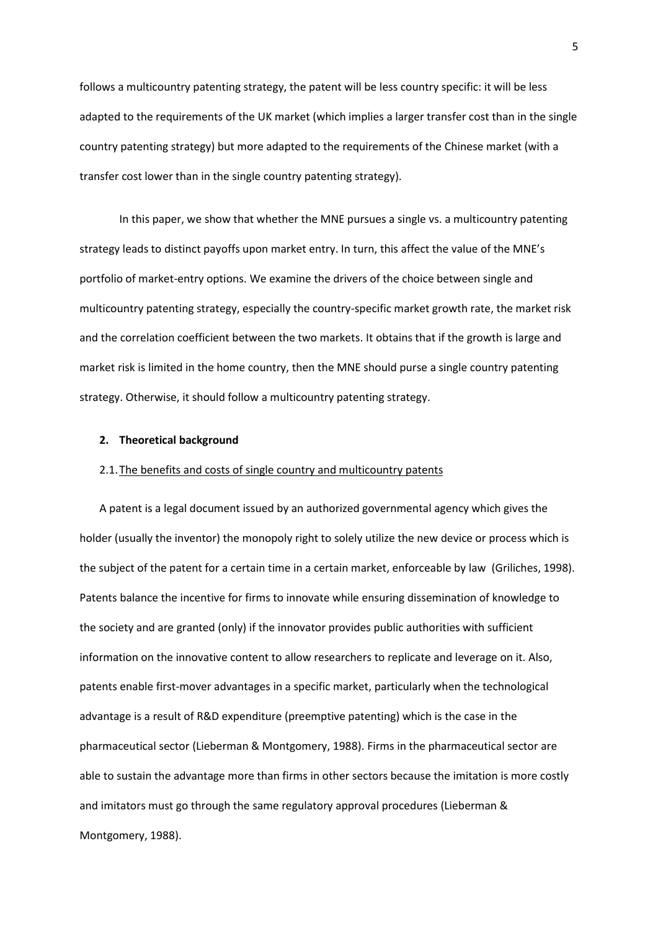follows a multicountry patenting strategy, the patent will be less country specific: it will be less adapted to the requirements of the UK market (which implies a larger transfer cost than in the single country patenting strategy) but more adapted to the requirements of the Chinese market (with a transfer cost lower than in the single country patenting strategy).

In this paper, we show that whether the MNE pursues a single vs. a multicountry patenting strategy leads to distinct payoffs upon market entry. In turn, this affect the value of the MNE's portfolio of market-entry options. We examine the drivers of the choice between single and multicountry patenting strategy, especially the country-specific market growth rate, the market risk and the correlation coefficient between the two markets. It obtains that if the growth is large and market risk is limited in the home country, then the MNE should purse a single country patenting strategy. Otherwise, it should follow a multicountry patenting strategy.

## **2. Theoretical background**

#### 2.1.The benefits and costs of single country and multicountry patents

A patent is a legal document issued by an authorized governmental agency which gives the holder (usually the inventor) the monopoly right to solely utilize the new device or process which is the subject of the patent for a certain time in a certain market, enforceable by law (Griliches, 1998). Patents balance the incentive for firms to innovate while ensuring dissemination of knowledge to the society and are granted (only) if the innovator provides public authorities with sufficient information on the innovative content to allow researchers to replicate and leverage on it. Also, patents enable first-mover advantages in a specific market, particularly when the technological advantage is a result of R&D expenditure (preemptive patenting) which is the case in the pharmaceutical sector (Lieberman & Montgomery, 1988). Firms in the pharmaceutical sector are able to sustain the advantage more than firms in other sectors because the imitation is more costly and imitators must go through the same regulatory approval procedures (Lieberman & Montgomery, 1988).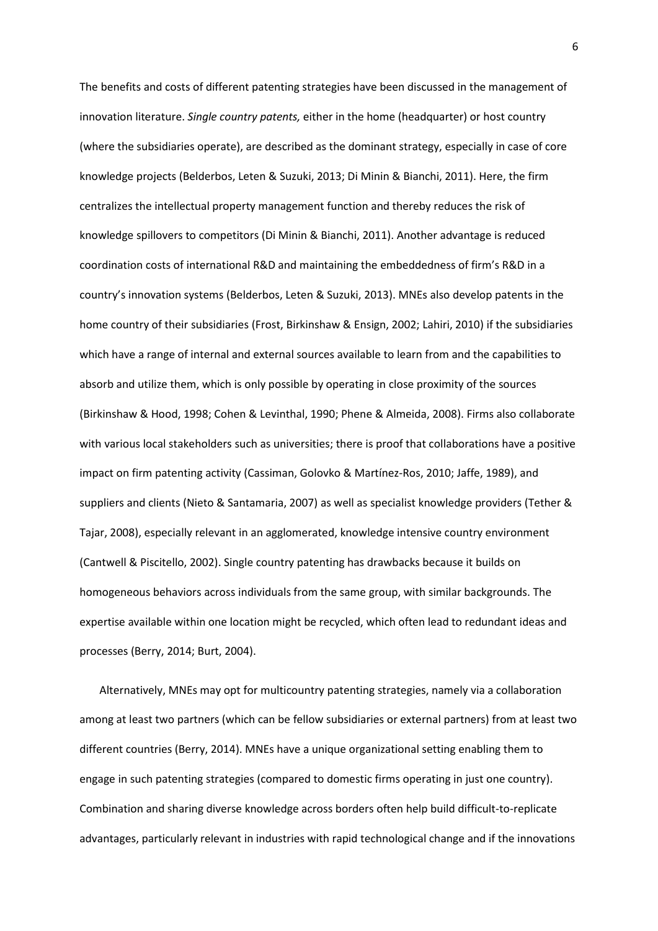The benefits and costs of different patenting strategies have been discussed in the management of innovation literature. *Single country patents,* either in the home (headquarter) or host country (where the subsidiaries operate), are described as the dominant strategy, especially in case of core knowledge projects (Belderbos, Leten & Suzuki, 2013; Di Minin & Bianchi, 2011). Here, the firm centralizes the intellectual property management function and thereby reduces the risk of knowledge spillovers to competitors (Di Minin & Bianchi, 2011). Another advantage is reduced coordination costs of international R&D and maintaining the embeddedness of firm's R&D in a country's innovation systems (Belderbos, Leten & Suzuki, 2013). MNEs also develop patents in the home country of their subsidiaries (Frost, Birkinshaw & Ensign, 2002; Lahiri, 2010) if the subsidiaries which have a range of internal and external sources available to learn from and the capabilities to absorb and utilize them, which is only possible by operating in close proximity of the sources (Birkinshaw & Hood, 1998; Cohen & Levinthal, 1990; Phene & Almeida, 2008). Firms also collaborate with various local stakeholders such as universities; there is proof that collaborations have a positive impact on firm patenting activity (Cassiman, Golovko & Martínez-Ros, 2010; Jaffe, 1989), and suppliers and clients (Nieto & Santamaria, 2007) as well as specialist knowledge providers (Tether & Tajar, 2008), especially relevant in an agglomerated, knowledge intensive country environment (Cantwell & Piscitello, 2002). Single country patenting has drawbacks because it builds on homogeneous behaviors across individuals from the same group, with similar backgrounds. The expertise available within one location might be recycled, which often lead to redundant ideas and processes (Berry, 2014; Burt, 2004).

Alternatively, MNEs may opt for multicountry patenting strategies, namely via a collaboration among at least two partners (which can be fellow subsidiaries or external partners) from at least two different countries (Berry, 2014). MNEs have a unique organizational setting enabling them to engage in such patenting strategies (compared to domestic firms operating in just one country). Combination and sharing diverse knowledge across borders often help build difficult-to-replicate advantages, particularly relevant in industries with rapid technological change and if the innovations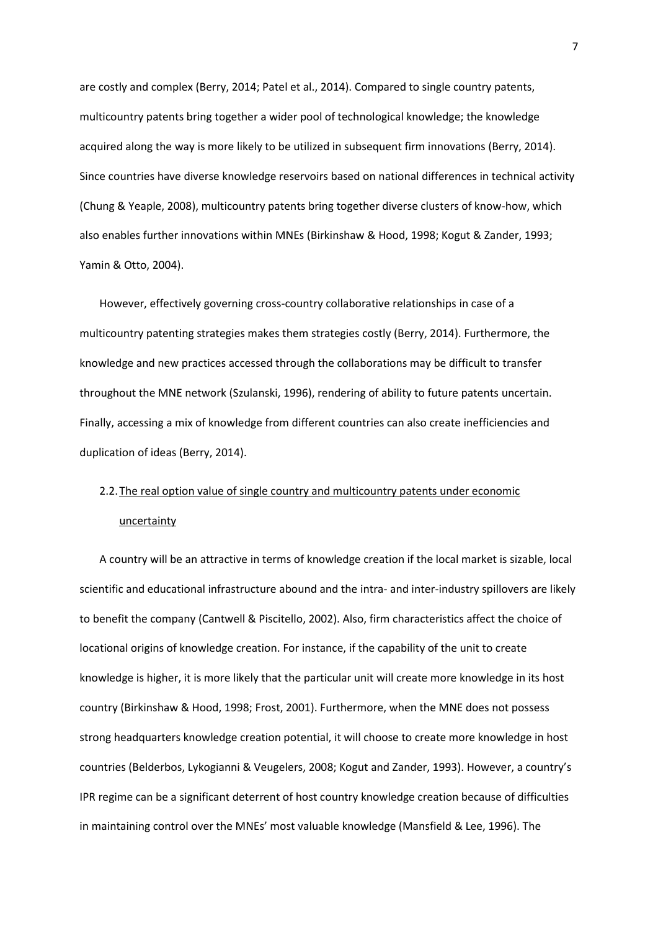are costly and complex (Berry, 2014; Patel et al., 2014). Compared to single country patents, multicountry patents bring together a wider pool of technological knowledge; the knowledge acquired along the way is more likely to be utilized in subsequent firm innovations (Berry, 2014). Since countries have diverse knowledge reservoirs based on national differences in technical activity (Chung & Yeaple, 2008), multicountry patents bring together diverse clusters of know-how, which also enables further innovations within MNEs (Birkinshaw & Hood, 1998; Kogut & Zander, 1993; Yamin & Otto, 2004).

However, effectively governing cross-country collaborative relationships in case of a multicountry patenting strategies makes them strategies costly (Berry, 2014). Furthermore, the knowledge and new practices accessed through the collaborations may be difficult to transfer throughout the MNE network (Szulanski, 1996), rendering of ability to future patents uncertain. Finally, accessing a mix of knowledge from different countries can also create inefficiencies and duplication of ideas (Berry, 2014).

# 2.2.The real option value of single country and multicountry patents under economic uncertainty

A country will be an attractive in terms of knowledge creation if the local market is sizable, local scientific and educational infrastructure abound and the intra- and inter-industry spillovers are likely to benefit the company (Cantwell & Piscitello, 2002). Also, firm characteristics affect the choice of locational origins of knowledge creation. For instance, if the capability of the unit to create knowledge is higher, it is more likely that the particular unit will create more knowledge in its host country (Birkinshaw & Hood, 1998; Frost, 2001). Furthermore, when the MNE does not possess strong headquarters knowledge creation potential, it will choose to create more knowledge in host countries (Belderbos, Lykogianni & Veugelers, 2008; Kogut and Zander, 1993). However, a country's IPR regime can be a significant deterrent of host country knowledge creation because of difficulties in maintaining control over the MNEs' most valuable knowledge (Mansfield & Lee, 1996). The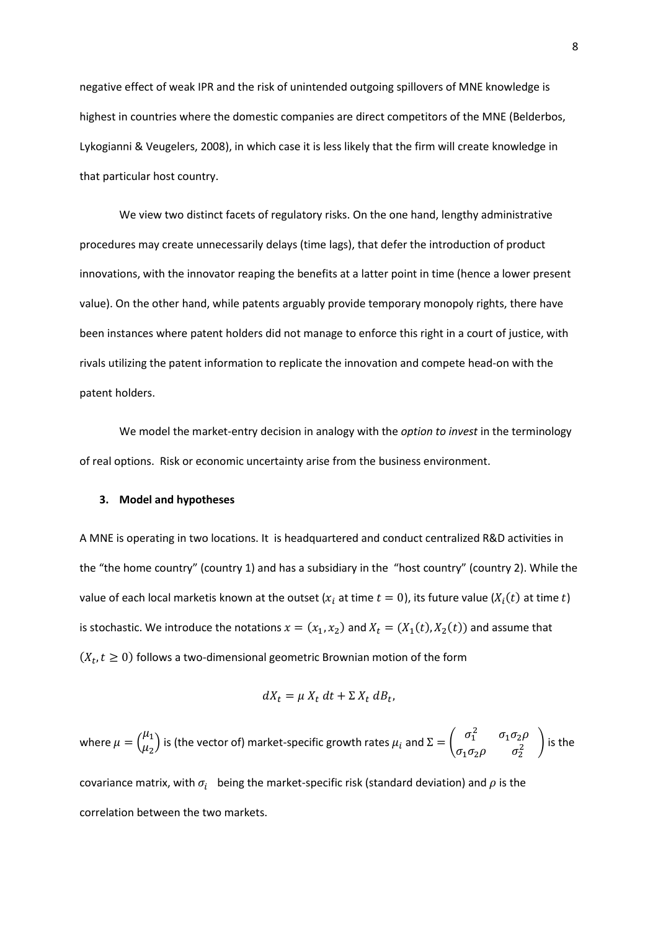negative effect of weak IPR and the risk of unintended outgoing spillovers of MNE knowledge is highest in countries where the domestic companies are direct competitors of the MNE (Belderbos, Lykogianni & Veugelers, 2008), in which case it is less likely that the firm will create knowledge in that particular host country.

We view two distinct facets of regulatory risks. On the one hand, lengthy administrative procedures may create unnecessarily delays (time lags), that defer the introduction of product innovations, with the innovator reaping the benefits at a latter point in time (hence a lower present value). On the other hand, while patents arguably provide temporary monopoly rights, there have been instances where patent holders did not manage to enforce this right in a court of justice, with rivals utilizing the patent information to replicate the innovation and compete head-on with the patent holders.

We model the market-entry decision in analogy with the *option to invest* in the terminology of real options. Risk or economic uncertainty arise from the business environment.

#### **3. Model and hypotheses**

A MNE is operating in two locations. It is headquartered and conduct centralized R&D activities in the "the home country" (country 1) and has a subsidiary in the "host country" (country 2). While the value of each local marketis known at the outset ( $x_i$  at time  $t=0$ ), its future value ( $X_i(t)$  at time  $t$ ) is stochastic. We introduce the notations  $x = (x_1, x_2)$  and  $X_t = (X_1(t), X_2(t))$  and assume that  $(X_t, t \geq 0)$  follows a two-dimensional geometric Brownian motion of the form

$$
dX_t = \mu X_t dt + \Sigma X_t dB_t,
$$

where  $\mu = \binom{\mu_1}{\mu_2}$  $\binom{\mu_1}{\mu_2}$  is (the vector of) market-specific growth rates  $\mu_i$  and  $\Sigma=\begin{pmatrix} \sigma_1^2 & \sigma_1\sigma_2\rho \ \sigma_1\sigma_2\rho & \sigma_2^2 \end{pmatrix}$  $\sigma_1 \sigma_2 \rho$   $\sigma_2^2$  is the

covariance matrix, with  $\sigma_i$  being the market-specific risk (standard deviation) and  $\rho$  is the correlation between the two markets.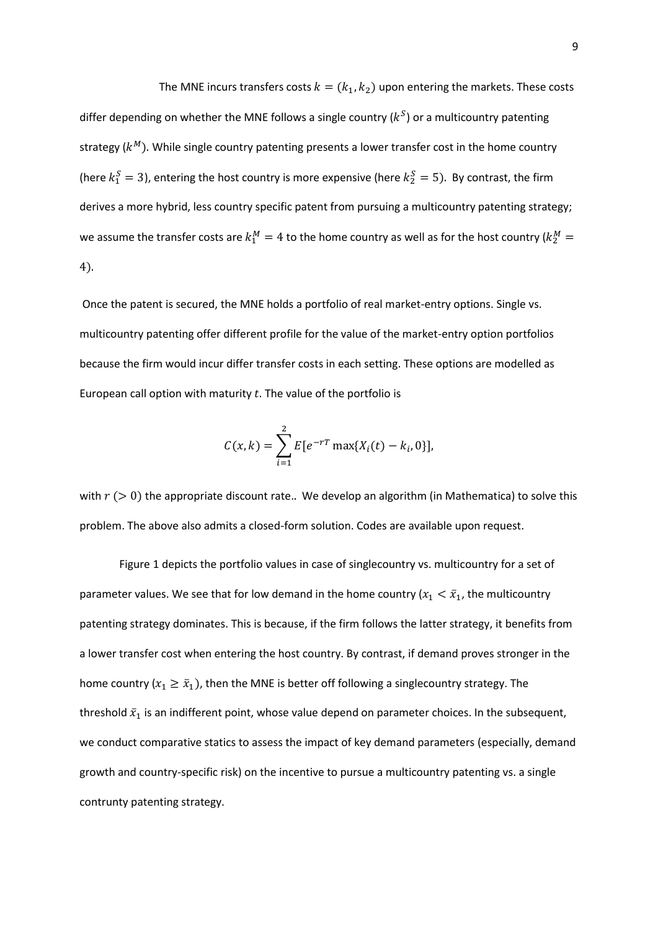The MNE incurs transfers costs  $k = (k_1, k_2)$  upon entering the markets. These costs differ depending on whether the MNE follows a single country ( $k^{S}$ ) or a multicountry patenting strategy ( $k^M$ ). While single country patenting presents a lower transfer cost in the home country (here  $k_1^S = 3$ ), entering the host country is more expensive (here  $k_2^S = 5$ ). By contrast, the firm derives a more hybrid, less country specific patent from pursuing a multicountry patenting strategy; we assume the transfer costs are  $k_1^M = 4$  to the home country as well as for the host country ( $k_2^M =$ 4).

Once the patent is secured, the MNE holds a portfolio of real market-entry options. Single vs. multicountry patenting offer different profile for the value of the market-entry option portfolios because the firm would incur differ transfer costs in each setting. These options are modelled as European call option with maturity  $t$ . The value of the portfolio is

$$
C(x,k) = \sum_{i=1}^{2} E[e^{-rT} \max\{X_i(t) - k_i, 0\}],
$$

with  $r$  ( $> 0$ ) the appropriate discount rate.. We develop an algorithm (in Mathematica) to solve this problem. The above also admits a closed-form solution. Codes are available upon request.

Figure 1 depicts the portfolio values in case of singlecountry vs. multicountry for a set of parameter values. We see that for low demand in the home country ( $x_1 < \bar{x}_1$ , the multicountry patenting strategy dominates. This is because, if the firm follows the latter strategy, it benefits from a lower transfer cost when entering the host country. By contrast, if demand proves stronger in the home country ( $x_1 \geq \bar{x}_1$ ), then the MNE is better off following a singlecountry strategy. The threshold  $\bar{x}_1$  is an indifferent point, whose value depend on parameter choices. In the subsequent, we conduct comparative statics to assess the impact of key demand parameters (especially, demand growth and country-specific risk) on the incentive to pursue a multicountry patenting vs. a single contrunty patenting strategy.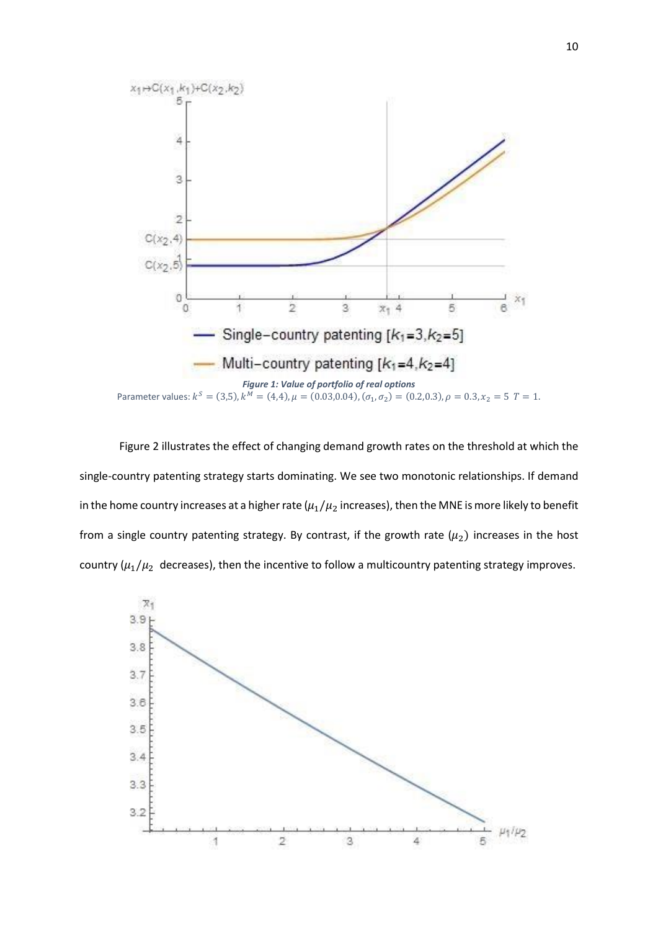

Figure 2 illustrates the effect of changing demand growth rates on the threshold at which the single-country patenting strategy starts dominating. We see two monotonic relationships. If demand in the home country increases at a higher rate ( $\mu_1/\mu_2$  increases), then the MNE is more likely to benefit from a single country patenting strategy. By contrast, if the growth rate  $(\mu_2)$  increases in the host country ( $\mu_1/\mu_2$  decreases), then the incentive to follow a multicountry patenting strategy improves.

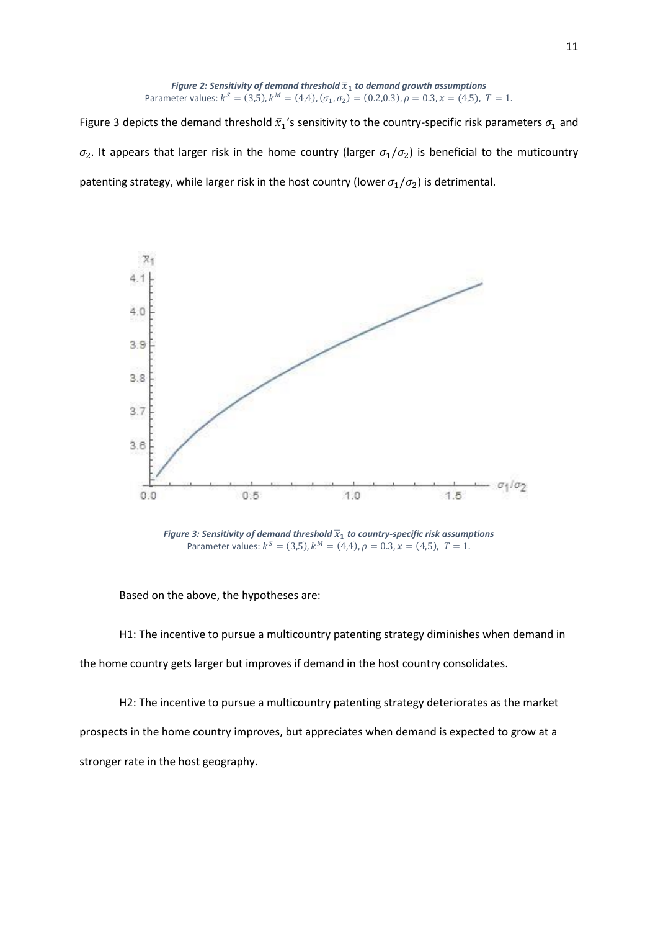**Figure 2: Sensitivity of demand threshold** 
$$
\overline{x}_1
$$
 **to demand growth assumptions** Parameter values:  $k^S = (3,5)$ ,  $k^M = (4,4)$ ,  $(\sigma_1, \sigma_2) = (0.2,0.3)$ ,  $\rho = 0.3$ ,  $x = (4,5)$ ,  $T = 1$ .

Figure 3 depicts the demand threshold  $\bar{x}_1$ 's sensitivity to the country-specific risk parameters  $\sigma_1$  and  $\sigma_2$ . It appears that larger risk in the home country (larger  $\sigma_1/\sigma_2$ ) is beneficial to the muticountry patenting strategy, while larger risk in the host country (lower  $\sigma_1/\sigma_2$ ) is detrimental.



Figure 3: Sensitivity of demand threshold  $\overline{x}_1$  to country-specific risk assumptions Parameter values:  $k^S = (3,5)$ ,  $k^M = (4,4)$ ,  $\rho = 0.3$ ,  $x = (4,5)$ ,  $T = 1$ .

Based on the above, the hypotheses are:

H1: The incentive to pursue a multicountry patenting strategy diminishes when demand in the home country gets larger but improves if demand in the host country consolidates.

H2: The incentive to pursue a multicountry patenting strategy deteriorates as the market prospects in the home country improves, but appreciates when demand is expected to grow at a stronger rate in the host geography.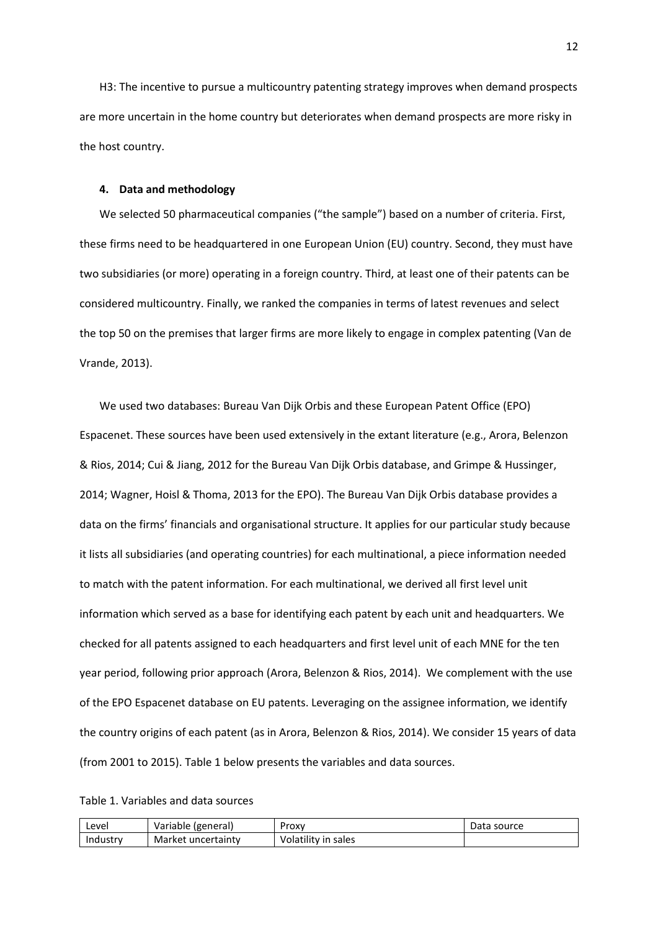H3: The incentive to pursue a multicountry patenting strategy improves when demand prospects are more uncertain in the home country but deteriorates when demand prospects are more risky in the host country.

## **4. Data and methodology**

We selected 50 pharmaceutical companies ("the sample") based on a number of criteria. First, these firms need to be headquartered in one European Union (EU) country. Second, they must have two subsidiaries (or more) operating in a foreign country. Third, at least one of their patents can be considered multicountry. Finally, we ranked the companies in terms of latest revenues and select the top 50 on the premises that larger firms are more likely to engage in complex patenting (Van de Vrande, 2013).

We used two databases: Bureau Van Dijk Orbis and these European Patent Office (EPO) Espacenet. These sources have been used extensively in the extant literature (e.g., Arora, Belenzon & Rios, 2014; Cui & Jiang, 2012 for the Bureau Van Dijk Orbis database, and Grimpe & Hussinger, 2014; Wagner, Hoisl & Thoma, 2013 for the EPO). The Bureau Van Dijk Orbis database provides a data on the firms' financials and organisational structure. It applies for our particular study because it lists all subsidiaries (and operating countries) for each multinational, a piece information needed to match with the patent information. For each multinational, we derived all first level unit information which served as a base for identifying each patent by each unit and headquarters. We checked for all patents assigned to each headquarters and first level unit of each MNE for the ten year period, following prior approach (Arora, Belenzon & Rios, 2014). We complement with the use of the EPO Espacenet database on EU patents. Leveraging on the assignee information, we identify the country origins of each patent (as in Arora, Belenzon & Rios, 2014). We consider 15 years of data (from 2001 to 2015). Table 1 below presents the variables and data sources.

Table 1. Variables and data sources

| Level    | Variable (general) | Proxy               | ata rس<br>source |
|----------|--------------------|---------------------|------------------|
| Industry | Market uncertainty | Volatility in sales |                  |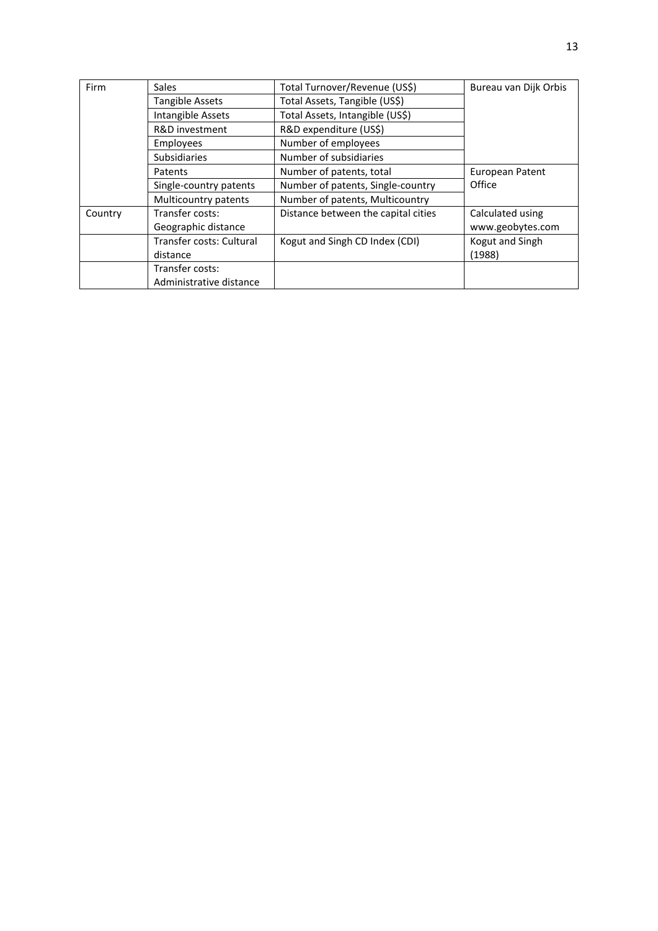| Firm    | <b>Sales</b>             | Total Turnover/Revenue (US\$)       | Bureau van Dijk Orbis |
|---------|--------------------------|-------------------------------------|-----------------------|
|         | <b>Tangible Assets</b>   | Total Assets, Tangible (US\$)       |                       |
|         | Intangible Assets        | Total Assets, Intangible (US\$)     |                       |
|         | R&D investment           | R&D expenditure (US\$)              |                       |
|         | Employees                | Number of employees                 |                       |
|         | <b>Subsidiaries</b>      | Number of subsidiaries              |                       |
|         | Patents                  | Number of patents, total            | European Patent       |
|         | Single-country patents   | Number of patents, Single-country   | Office                |
|         | Multicountry patents     | Number of patents, Multicountry     |                       |
| Country | Transfer costs:          | Distance between the capital cities | Calculated using      |
|         | Geographic distance      |                                     | www.geobytes.com      |
|         | Transfer costs: Cultural | Kogut and Singh CD Index (CDI)      | Kogut and Singh       |
|         | distance                 |                                     | (1988)                |
|         | Transfer costs:          |                                     |                       |
|         | Administrative distance  |                                     |                       |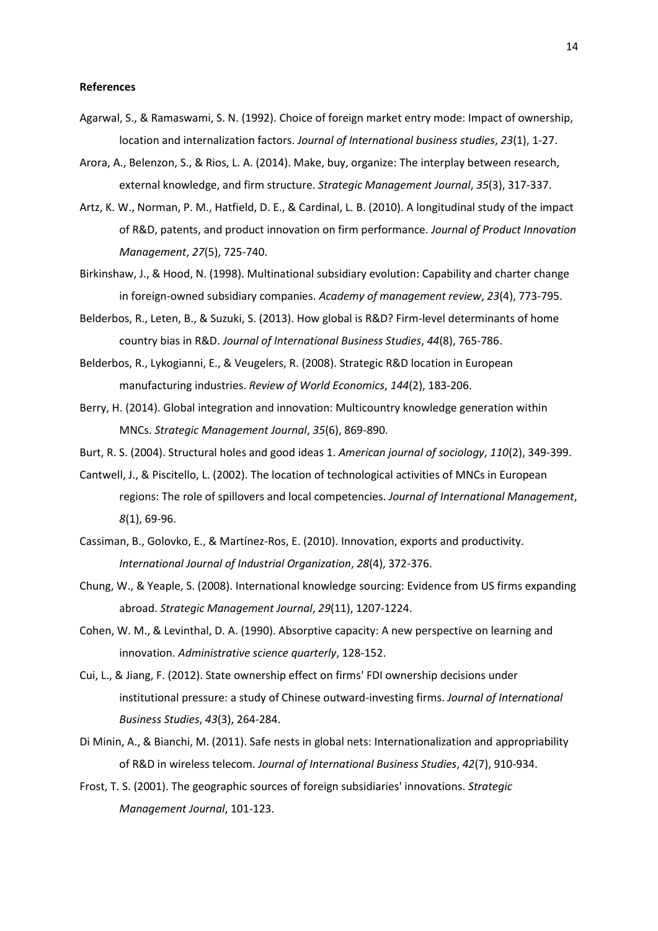#### **References**

- Agarwal, S., & Ramaswami, S. N. (1992). Choice of foreign market entry mode: Impact of ownership, location and internalization factors. *Journal of International business studies*, *23*(1), 1-27.
- Arora, A., Belenzon, S., & Rios, L. A. (2014). Make, buy, organize: The interplay between research, external knowledge, and firm structure. *Strategic Management Journal*, *35*(3), 317-337.
- Artz, K. W., Norman, P. M., Hatfield, D. E., & Cardinal, L. B. (2010). A longitudinal study of the impact of R&D, patents, and product innovation on firm performance. *Journal of Product Innovation Management*, *27*(5), 725-740.
- Birkinshaw, J., & Hood, N. (1998). Multinational subsidiary evolution: Capability and charter change in foreign-owned subsidiary companies. *Academy of management review*, *23*(4), 773-795.
- Belderbos, R., Leten, B., & Suzuki, S. (2013). How global is R&D? Firm-level determinants of home country bias in R&D. *Journal of International Business Studies*, *44*(8), 765-786.
- Belderbos, R., Lykogianni, E., & Veugelers, R. (2008). Strategic R&D location in European manufacturing industries. *Review of World Economics*, *144*(2), 183-206.
- Berry, H. (2014). Global integration and innovation: Multicountry knowledge generation within MNCs. *Strategic Management Journal*, *35*(6), 869-890.
- Burt, R. S. (2004). Structural holes and good ideas 1. *American journal of sociology*, *110*(2), 349-399.
- Cantwell, J., & Piscitello, L. (2002). The location of technological activities of MNCs in European regions: The role of spillovers and local competencies. *Journal of International Management*, *8*(1), 69-96.
- Cassiman, B., Golovko, E., & Martínez-Ros, E. (2010). Innovation, exports and productivity. *International Journal of Industrial Organization*, *28*(4), 372-376.
- Chung, W., & Yeaple, S. (2008). International knowledge sourcing: Evidence from US firms expanding abroad. *Strategic Management Journal*, *29*(11), 1207-1224.
- Cohen, W. M., & Levinthal, D. A. (1990). Absorptive capacity: A new perspective on learning and innovation. *Administrative science quarterly*, 128-152.
- Cui, L., & Jiang, F. (2012). State ownership effect on firms' FDI ownership decisions under institutional pressure: a study of Chinese outward-investing firms. *Journal of International Business Studies*, *43*(3), 264-284.
- Di Minin, A., & Bianchi, M. (2011). Safe nests in global nets: Internationalization and appropriability of R&D in wireless telecom. *Journal of International Business Studies*, *42*(7), 910-934.
- Frost, T. S. (2001). The geographic sources of foreign subsidiaries' innovations. *Strategic Management Journal*, 101-123.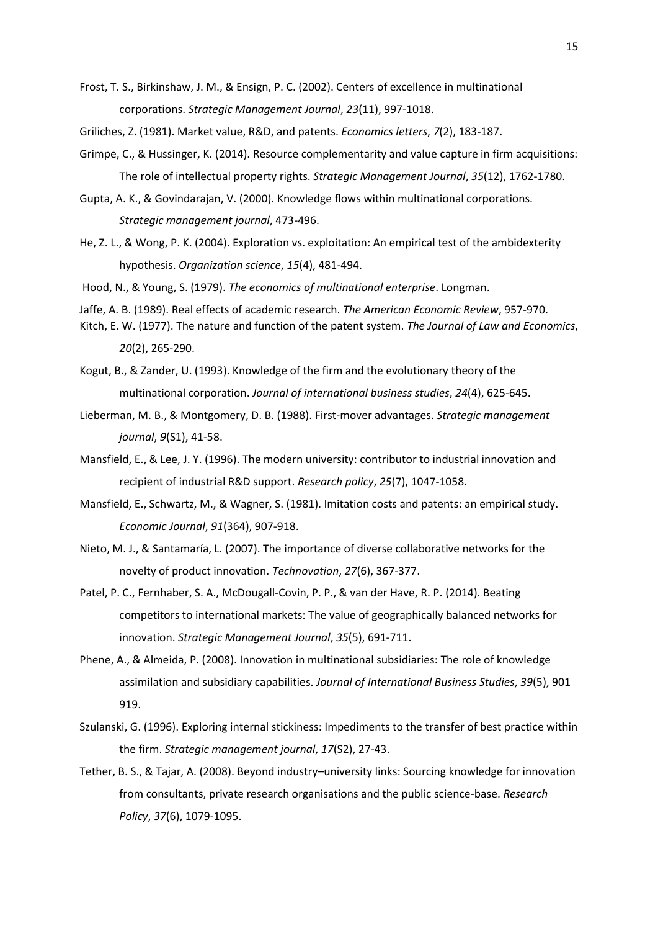Frost, T. S., Birkinshaw, J. M., & Ensign, P. C. (2002). Centers of excellence in multinational corporations. *Strategic Management Journal*, *23*(11), 997-1018.

Griliches, Z. (1981). Market value, R&D, and patents. *Economics letters*, *7*(2), 183-187.

- Grimpe, C., & Hussinger, K. (2014). Resource complementarity and value capture in firm acquisitions: The role of intellectual property rights. *Strategic Management Journal*, *35*(12), 1762-1780.
- Gupta, A. K., & Govindarajan, V. (2000). Knowledge flows within multinational corporations. *Strategic management journal*, 473-496.
- He, Z. L., & Wong, P. K. (2004). Exploration vs. exploitation: An empirical test of the ambidexterity hypothesis. *Organization science*, *15*(4), 481-494.
- Hood, N., & Young, S. (1979). *The economics of multinational enterprise*. Longman.
- Jaffe, A. B. (1989). Real effects of academic research. *The American Economic Review*, 957-970.
- Kitch, E. W. (1977). The nature and function of the patent system. *The Journal of Law and Economics*, *20*(2), 265-290.
- Kogut, B., & Zander, U. (1993). Knowledge of the firm and the evolutionary theory of the multinational corporation. *Journal of international business studies*, *24*(4), 625-645.
- Lieberman, M. B., & Montgomery, D. B. (1988). First‐mover advantages. *Strategic management journal*, *9*(S1), 41-58.
- Mansfield, E., & Lee, J. Y. (1996). The modern university: contributor to industrial innovation and recipient of industrial R&D support. *Research policy*, *25*(7), 1047-1058.
- Mansfield, E., Schwartz, M., & Wagner, S. (1981). Imitation costs and patents: an empirical study. *Economic Journal*, *91*(364), 907-918.
- Nieto, M. J., & Santamaría, L. (2007). The importance of diverse collaborative networks for the novelty of product innovation. *Technovation*, *27*(6), 367-377.
- Patel, P. C., Fernhaber, S. A., McDougall‐Covin, P. P., & van der Have, R. P. (2014). Beating competitors to international markets: The value of geographically balanced networks for innovation. *Strategic Management Journal*, *35*(5), 691-711.
- Phene, A., & Almeida, P. (2008). Innovation in multinational subsidiaries: The role of knowledge assimilation and subsidiary capabilities. *Journal of International Business Studies*, *39*(5), 901 919.
- Szulanski, G. (1996). Exploring internal stickiness: Impediments to the transfer of best practice within the firm. *Strategic management journal*, *17*(S2), 27-43.
- Tether, B. S., & Tajar, A. (2008). Beyond industry–university links: Sourcing knowledge for innovation from consultants, private research organisations and the public science-base. *Research Policy*, *37*(6), 1079-1095.